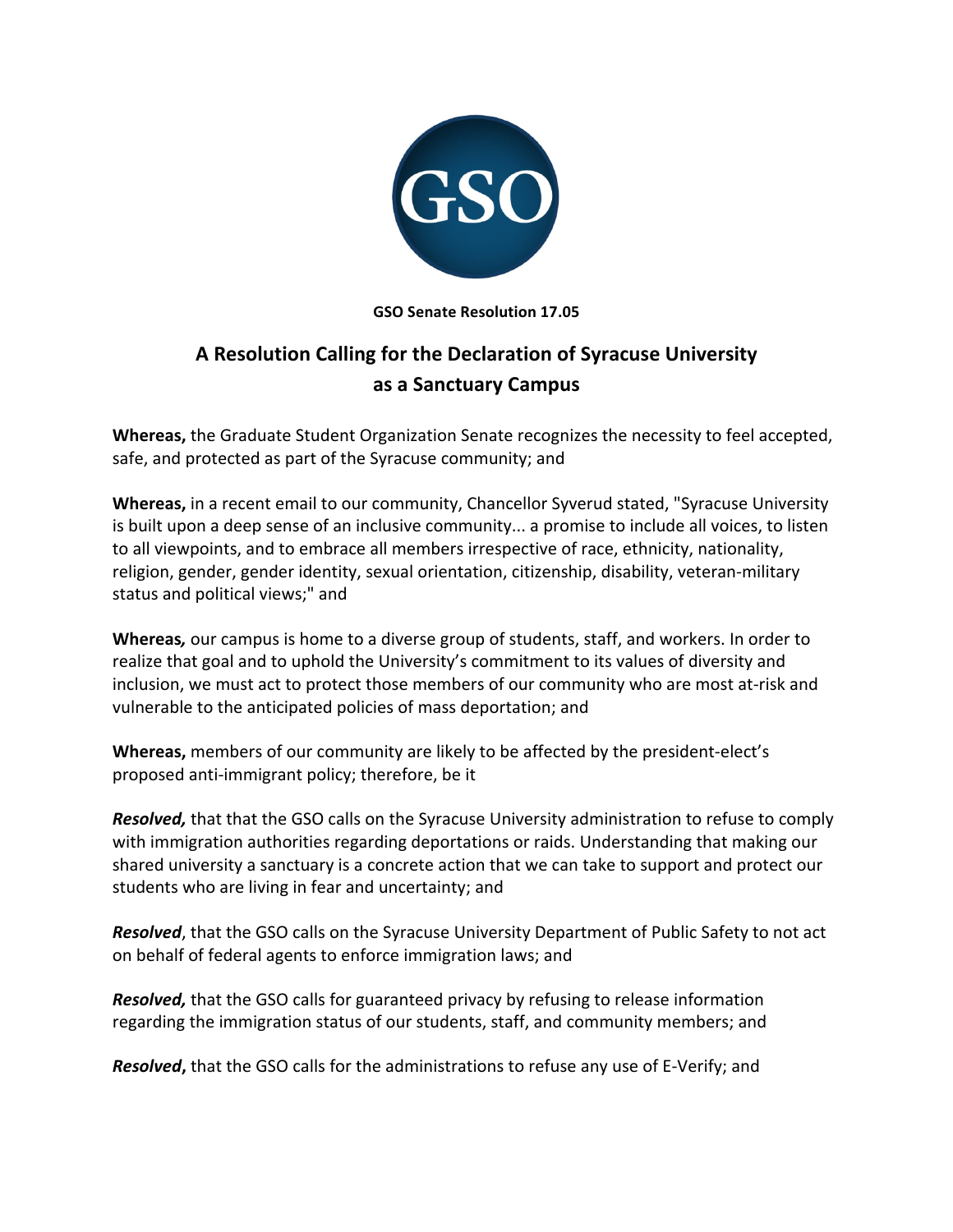

**GSO Senate Resolution 17.05**

## **A Resolution Calling for the Declaration of Syracuse University as a Sanctuary Campus**

Whereas, the Graduate Student Organization Senate recognizes the necessity to feel accepted, safe, and protected as part of the Syracuse community; and

**Whereas,** in a recent email to our community, Chancellor Syverud stated, "Syracuse University is built upon a deep sense of an inclusive community... a promise to include all voices, to listen to all viewpoints, and to embrace all members irrespective of race, ethnicity, nationality, religion, gender, gender identity, sexual orientation, citizenship, disability, veteran-military status and political views;" and

**Whereas**, our campus is home to a diverse group of students, staff, and workers. In order to realize that goal and to uphold the University's commitment to its values of diversity and inclusion, we must act to protect those members of our community who are most at-risk and vulnerable to the anticipated policies of mass deportation; and

**Whereas,** members of our community are likely to be affected by the president-elect's proposed anti-immigrant policy; therefore, be it

**Resolved,** that that the GSO calls on the Syracuse University administration to refuse to comply with immigration authorities regarding deportations or raids. Understanding that making our shared university a sanctuary is a concrete action that we can take to support and protect our students who are living in fear and uncertainty; and

**Resolved**, that the GSO calls on the Syracuse University Department of Public Safety to not act on behalf of federal agents to enforce immigration laws; and

**Resolved,** that the GSO calls for guaranteed privacy by refusing to release information regarding the immigration status of our students, staff, and community members; and

**Resolved,** that the GSO calls for the administrations to refuse any use of E-Verify; and